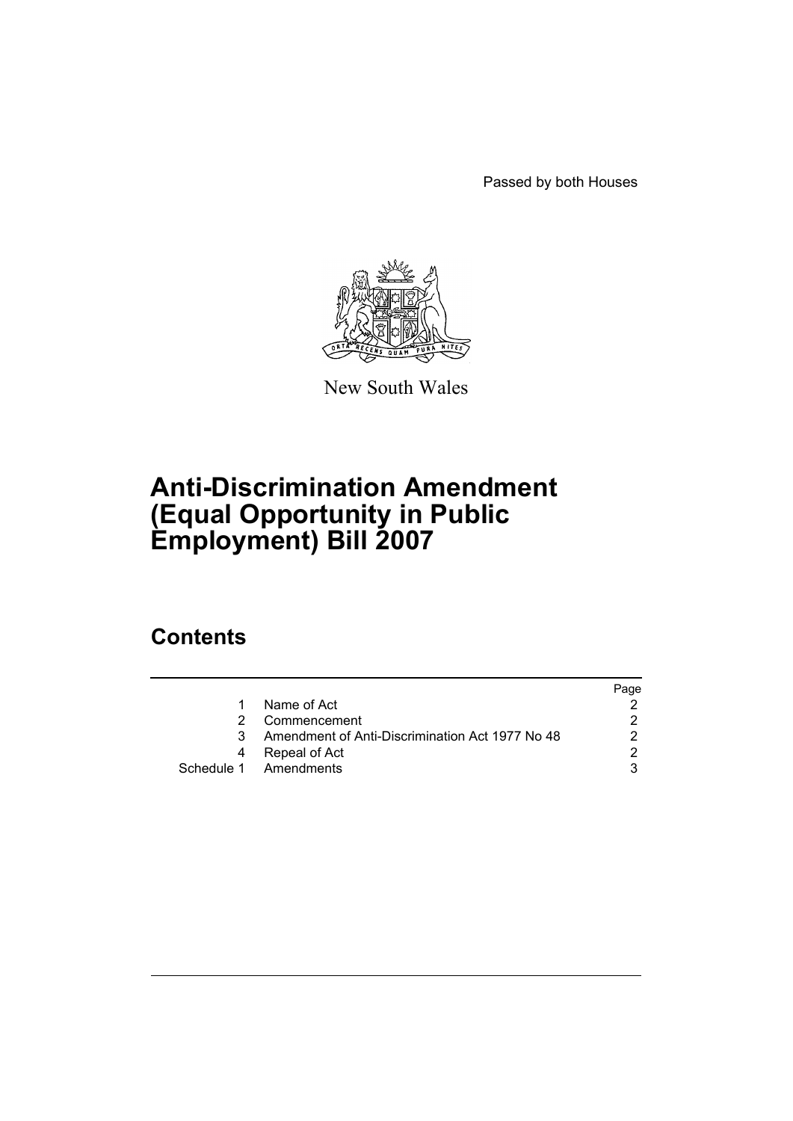Passed by both Houses



New South Wales

# **Anti-Discrimination Amendment (Equal Opportunity in Public Employment) Bill 2007**

## **Contents**

|                                                 | Page |
|-------------------------------------------------|------|
| Name of Act                                     |      |
| Commencement                                    |      |
| Amendment of Anti-Discrimination Act 1977 No 48 |      |
| Repeal of Act                                   |      |
| Schedule 1 Amendments                           |      |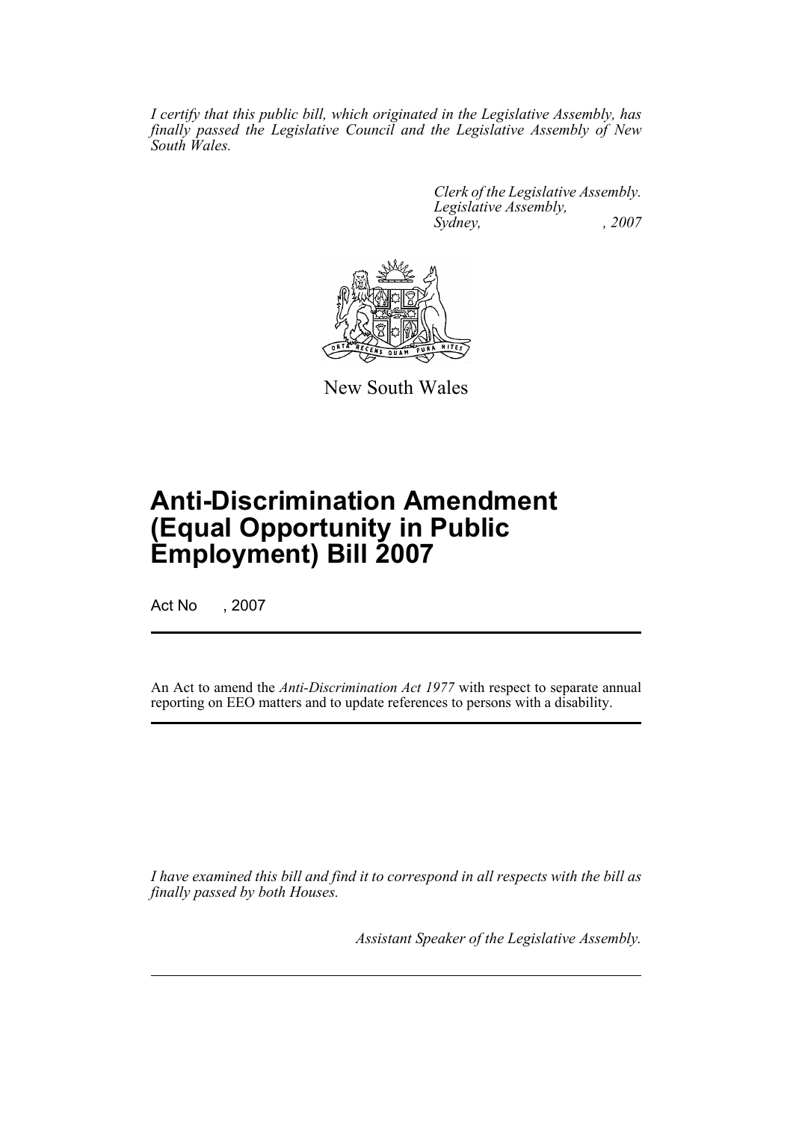*I certify that this public bill, which originated in the Legislative Assembly, has finally passed the Legislative Council and the Legislative Assembly of New South Wales.*

> *Clerk of the Legislative Assembly. Legislative Assembly, Sydney, , 2007*



New South Wales

## **Anti-Discrimination Amendment (Equal Opportunity in Public Employment) Bill 2007**

Act No , 2007

An Act to amend the *Anti-Discrimination Act 1977* with respect to separate annual reporting on EEO matters and to update references to persons with a disability.

*I have examined this bill and find it to correspond in all respects with the bill as finally passed by both Houses.*

*Assistant Speaker of the Legislative Assembly.*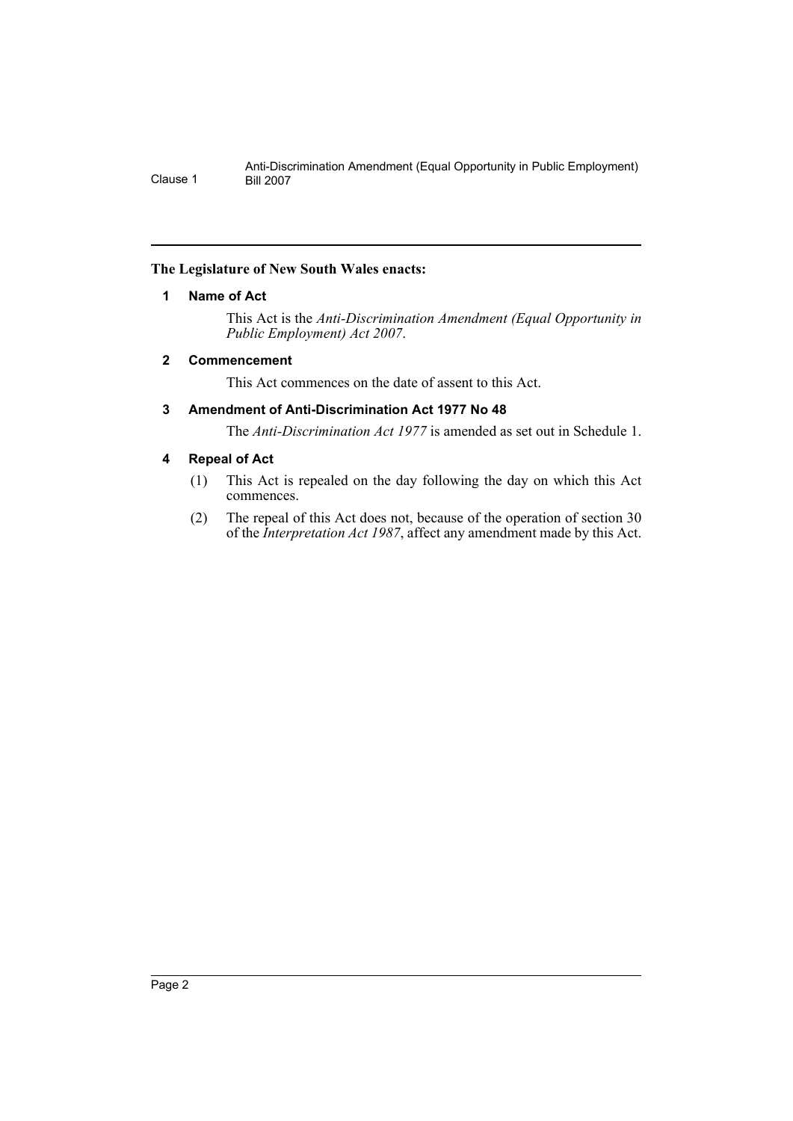#### <span id="page-2-0"></span>**The Legislature of New South Wales enacts:**

#### **1 Name of Act**

This Act is the *Anti-Discrimination Amendment (Equal Opportunity in Public Employment) Act 2007*.

#### <span id="page-2-1"></span>**2 Commencement**

This Act commences on the date of assent to this Act.

#### <span id="page-2-2"></span>**3 Amendment of Anti-Discrimination Act 1977 No 48**

The *Anti-Discrimination Act 1977* is amended as set out in Schedule 1.

#### <span id="page-2-3"></span>**4 Repeal of Act**

- (1) This Act is repealed on the day following the day on which this Act commences.
- (2) The repeal of this Act does not, because of the operation of section 30 of the *Interpretation Act 1987*, affect any amendment made by this Act.